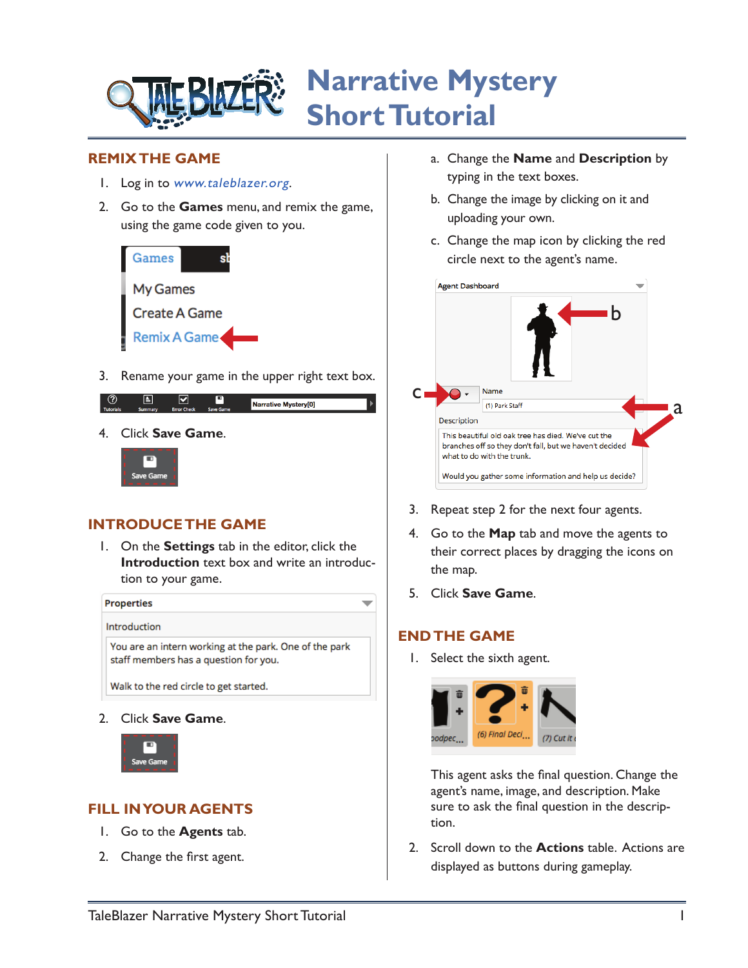

### **REMIX THE GAME**

- 1. Log in to [www.taleblazer.org](http://www.taleblazer.org).
- 2. Go to the **Games** menu, and remix the game, using the game code given to you.



3. Rename your game in the upper right text box.

|                  |                |                    |                  | Narrative Mystery[0] |
|------------------|----------------|--------------------|------------------|----------------------|
| <b>Tutorials</b> | <b>Summary</b> | <b>Error Check</b> | <b>Save Game</b> |                      |
|                  |                |                    |                  |                      |

4. Click **Save Game**.



# **INTRODUCE THE GAME**

1. On the **Settings** tab in the editor, click the **Introduction** text box and write an introduction to your game.



Walk to the red circle to get started.

2. Click **Save Game**.



# **FILL IN YOUR AGENTS**

- 1. Go to the **Agents** tab.
- 2. Change the first agent.
- a. Change the **Name** and **Description** by typing in the text boxes.
- b. Change the image by clicking on it and uploading your own.
- c. Change the map icon by clicking the red circle next to the agent's name.

| <b>Agent Dashboard</b> |                                                                                                                                              |   |
|------------------------|----------------------------------------------------------------------------------------------------------------------------------------------|---|
|                        | h                                                                                                                                            |   |
|                        | Name                                                                                                                                         |   |
|                        | (1) Park Staff                                                                                                                               | đ |
| Description            |                                                                                                                                              |   |
|                        | This beautiful old oak tree has died. We've cut the<br>branches off so they don't fall, but we haven't decided<br>what to do with the trunk. |   |
|                        | Would you gather some information and help us decide?                                                                                        |   |

- 3. Repeat step 2 for the next four agents.
- 4. Go to the **Map** tab and move the agents to their correct places by dragging the icons on the map.
- 5. Click **Save Game**.

### **END THE GAME**

 $\overline{\phantom{a}}$ 

1. Select the sixth agent.



This agent asks the final question. Change the agent's name, image, and description. Make sure to ask the final question in the description.

2. Scroll down to the **Actions** table. Actions are displayed as buttons during gameplay.